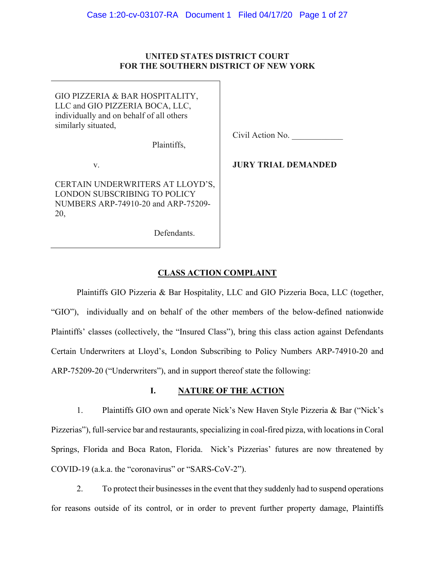## **UNITED STATES DISTRICT COURT FOR THE SOUTHERN DISTRICT OF NEW YORK**

GIO PIZZERIA & BAR HOSPITALITY, LLC and GIO PIZZERIA BOCA, LLC, individually and on behalf of all others similarly situated,

Plaintiffs,

v.

CERTAIN UNDERWRITERS AT LLOYD'S, LONDON SUBSCRIBING TO POLICY NUMBERS ARP-74910-20 and ARP-75209- 20,

Civil Action No.

**JURY TRIAL DEMANDED** 

# Defendants.

# **CLASS ACTION COMPLAINT**

Plaintiffs GIO Pizzeria & Bar Hospitality, LLC and GIO Pizzeria Boca, LLC (together, "GIO"), individually and on behalf of the other members of the below-defined nationwide Plaintiffs' classes (collectively, the "Insured Class"), bring this class action against Defendants Certain Underwriters at Lloyd's, London Subscribing to Policy Numbers ARP-74910-20 and ARP-75209-20 ("Underwriters"), and in support thereof state the following:

## **I. NATURE OF THE ACTION**

1. Plaintiffs GIO own and operate Nick's New Haven Style Pizzeria & Bar ("Nick's Pizzerias"), full-service bar and restaurants, specializing in coal-fired pizza, with locations in Coral Springs, Florida and Boca Raton, Florida. Nick's Pizzerias' futures are now threatened by COVID-19 (a.k.a. the "coronavirus" or "SARS-CoV-2").

2. To protect their businesses in the event that they suddenly had to suspend operations for reasons outside of its control, or in order to prevent further property damage, Plaintiffs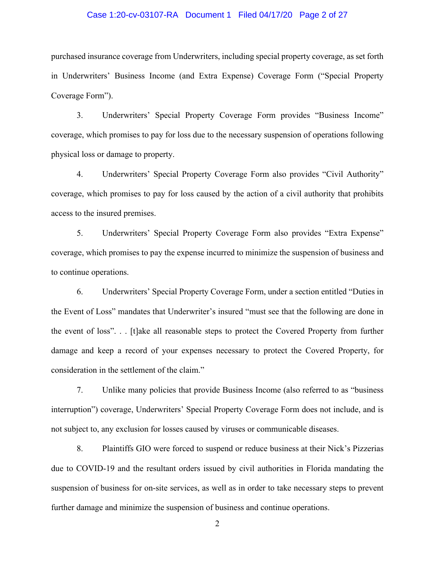#### Case 1:20-cv-03107-RA Document 1 Filed 04/17/20 Page 2 of 27

purchased insurance coverage from Underwriters, including special property coverage, as set forth in Underwriters' Business Income (and Extra Expense) Coverage Form ("Special Property Coverage Form").

3. Underwriters' Special Property Coverage Form provides "Business Income" coverage, which promises to pay for loss due to the necessary suspension of operations following physical loss or damage to property.

4. Underwriters' Special Property Coverage Form also provides "Civil Authority" coverage, which promises to pay for loss caused by the action of a civil authority that prohibits access to the insured premises.

5. Underwriters' Special Property Coverage Form also provides "Extra Expense" coverage, which promises to pay the expense incurred to minimize the suspension of business and to continue operations.

6. Underwriters' Special Property Coverage Form, under a section entitled "Duties in the Event of Loss" mandates that Underwriter's insured "must see that the following are done in the event of loss". . . [t]ake all reasonable steps to protect the Covered Property from further damage and keep a record of your expenses necessary to protect the Covered Property, for consideration in the settlement of the claim."

7. Unlike many policies that provide Business Income (also referred to as "business interruption") coverage, Underwriters' Special Property Coverage Form does not include, and is not subject to, any exclusion for losses caused by viruses or communicable diseases.

8. Plaintiffs GIO were forced to suspend or reduce business at their Nick's Pizzerias due to COVID-19 and the resultant orders issued by civil authorities in Florida mandating the suspension of business for on-site services, as well as in order to take necessary steps to prevent further damage and minimize the suspension of business and continue operations.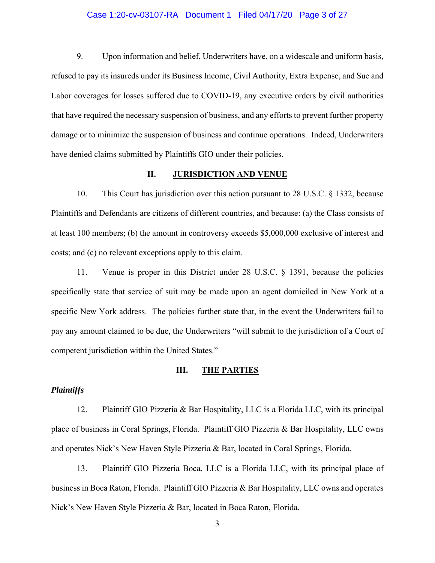#### Case 1:20-cv-03107-RA Document 1 Filed 04/17/20 Page 3 of 27

9. Upon information and belief, Underwriters have, on a widescale and uniform basis, refused to pay its insureds under its Business Income, Civil Authority, Extra Expense, and Sue and Labor coverages for losses suffered due to COVID-19, any executive orders by civil authorities that have required the necessary suspension of business, and any efforts to prevent further property damage or to minimize the suspension of business and continue operations. Indeed, Underwriters have denied claims submitted by Plaintiffs GIO under their policies.

#### **II. JURISDICTION AND VENUE**

10. This Court has jurisdiction over this action pursuant to 28 U.S.C. § 1332, because Plaintiffs and Defendants are citizens of different countries, and because: (a) the Class consists of at least 100 members; (b) the amount in controversy exceeds \$5,000,000 exclusive of interest and costs; and (c) no relevant exceptions apply to this claim.

11. Venue is proper in this District under 28 U.S.C. § 1391, because the policies specifically state that service of suit may be made upon an agent domiciled in New York at a specific New York address. The policies further state that, in the event the Underwriters fail to pay any amount claimed to be due, the Underwriters "will submit to the jurisdiction of a Court of competent jurisdiction within the United States."

#### **III. THE PARTIES**

## *Plaintiffs*

12. Plaintiff GIO Pizzeria & Bar Hospitality, LLC is a Florida LLC, with its principal place of business in Coral Springs, Florida. Plaintiff GIO Pizzeria & Bar Hospitality, LLC owns and operates Nick's New Haven Style Pizzeria & Bar, located in Coral Springs, Florida.

13. Plaintiff GIO Pizzeria Boca, LLC is a Florida LLC, with its principal place of business in Boca Raton, Florida. Plaintiff GIO Pizzeria & Bar Hospitality, LLC owns and operates Nick's New Haven Style Pizzeria & Bar, located in Boca Raton, Florida.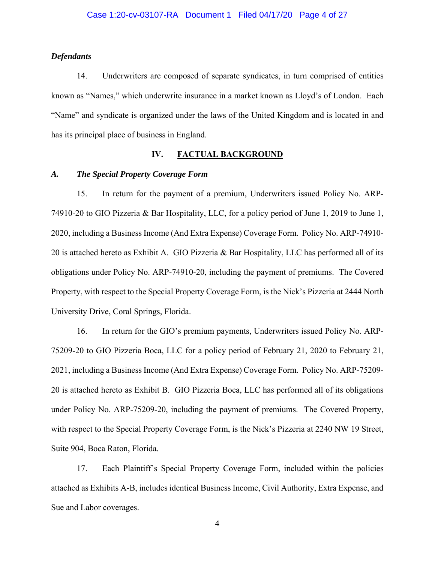#### *Defendants*

14. Underwriters are composed of separate syndicates, in turn comprised of entities known as "Names," which underwrite insurance in a market known as Lloyd's of London. Each "Name" and syndicate is organized under the laws of the United Kingdom and is located in and has its principal place of business in England.

### **IV. FACTUAL BACKGROUND**

#### *A. The Special Property Coverage Form*

15. In return for the payment of a premium, Underwriters issued Policy No. ARP-74910-20 to GIO Pizzeria & Bar Hospitality, LLC, for a policy period of June 1, 2019 to June 1, 2020, including a Business Income (And Extra Expense) Coverage Form. Policy No. ARP-74910- 20 is attached hereto as Exhibit A. GIO Pizzeria & Bar Hospitality, LLC has performed all of its obligations under Policy No. ARP-74910-20, including the payment of premiums. The Covered Property, with respect to the Special Property Coverage Form, is the Nick's Pizzeria at 2444 North University Drive, Coral Springs, Florida.

16. In return for the GIO's premium payments, Underwriters issued Policy No. ARP-75209-20 to GIO Pizzeria Boca, LLC for a policy period of February 21, 2020 to February 21, 2021, including a Business Income (And Extra Expense) Coverage Form. Policy No. ARP-75209- 20 is attached hereto as Exhibit B. GIO Pizzeria Boca, LLC has performed all of its obligations under Policy No. ARP-75209-20, including the payment of premiums. The Covered Property, with respect to the Special Property Coverage Form, is the Nick's Pizzeria at 2240 NW 19 Street, Suite 904, Boca Raton, Florida.

17. Each Plaintiff's Special Property Coverage Form, included within the policies attached as Exhibits A-B, includes identical Business Income, Civil Authority, Extra Expense, and Sue and Labor coverages.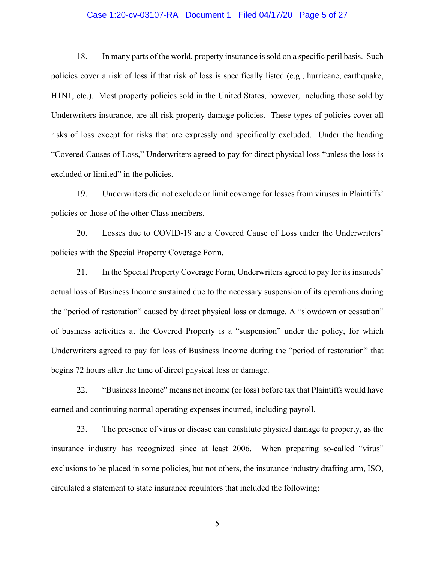#### Case 1:20-cv-03107-RA Document 1 Filed 04/17/20 Page 5 of 27

18. In many parts of the world, property insurance is sold on a specific peril basis. Such policies cover a risk of loss if that risk of loss is specifically listed (e.g., hurricane, earthquake, H1N1, etc.). Most property policies sold in the United States, however, including those sold by Underwriters insurance, are all-risk property damage policies. These types of policies cover all risks of loss except for risks that are expressly and specifically excluded. Under the heading "Covered Causes of Loss," Underwriters agreed to pay for direct physical loss "unless the loss is excluded or limited" in the policies.

19. Underwriters did not exclude or limit coverage for losses from viruses in Plaintiffs' policies or those of the other Class members.

20. Losses due to COVID-19 are a Covered Cause of Loss under the Underwriters' policies with the Special Property Coverage Form.

21. In the Special Property Coverage Form, Underwriters agreed to pay for its insureds' actual loss of Business Income sustained due to the necessary suspension of its operations during the "period of restoration" caused by direct physical loss or damage. A "slowdown or cessation" of business activities at the Covered Property is a "suspension" under the policy, for which Underwriters agreed to pay for loss of Business Income during the "period of restoration" that begins 72 hours after the time of direct physical loss or damage.

22. "Business Income" means net income (or loss) before tax that Plaintiffs would have earned and continuing normal operating expenses incurred, including payroll.

23. The presence of virus or disease can constitute physical damage to property, as the insurance industry has recognized since at least 2006. When preparing so-called "virus" exclusions to be placed in some policies, but not others, the insurance industry drafting arm, ISO, circulated a statement to state insurance regulators that included the following: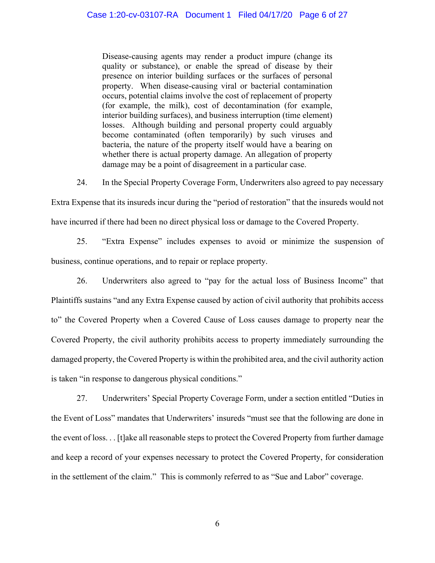Disease-causing agents may render a product impure (change its quality or substance), or enable the spread of disease by their presence on interior building surfaces or the surfaces of personal property. When disease-causing viral or bacterial contamination occurs, potential claims involve the cost of replacement of property (for example, the milk), cost of decontamination (for example, interior building surfaces), and business interruption (time element) losses. Although building and personal property could arguably become contaminated (often temporarily) by such viruses and bacteria, the nature of the property itself would have a bearing on whether there is actual property damage. An allegation of property damage may be a point of disagreement in a particular case.

24. In the Special Property Coverage Form, Underwriters also agreed to pay necessary

Extra Expense that its insureds incur during the "period of restoration" that the insureds would not have incurred if there had been no direct physical loss or damage to the Covered Property.

25. "Extra Expense" includes expenses to avoid or minimize the suspension of business, continue operations, and to repair or replace property.

26. Underwriters also agreed to "pay for the actual loss of Business Income" that Plaintiffs sustains "and any Extra Expense caused by action of civil authority that prohibits access to" the Covered Property when a Covered Cause of Loss causes damage to property near the Covered Property, the civil authority prohibits access to property immediately surrounding the damaged property, the Covered Property is within the prohibited area, and the civil authority action is taken "in response to dangerous physical conditions."

27. Underwriters' Special Property Coverage Form, under a section entitled "Duties in the Event of Loss" mandates that Underwriters' insureds "must see that the following are done in the event of loss. . . [t]ake all reasonable steps to protect the Covered Property from further damage and keep a record of your expenses necessary to protect the Covered Property, for consideration in the settlement of the claim." This is commonly referred to as "Sue and Labor" coverage.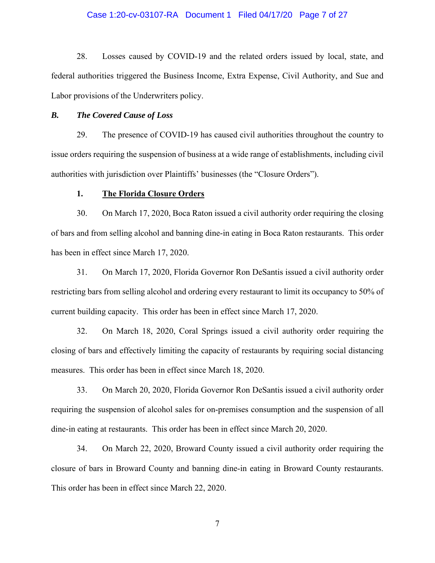#### Case 1:20-cv-03107-RA Document 1 Filed 04/17/20 Page 7 of 27

28. Losses caused by COVID-19 and the related orders issued by local, state, and federal authorities triggered the Business Income, Extra Expense, Civil Authority, and Sue and Labor provisions of the Underwriters policy.

#### *B. The Covered Cause of Loss*

29. The presence of COVID-19 has caused civil authorities throughout the country to issue orders requiring the suspension of business at a wide range of establishments, including civil authorities with jurisdiction over Plaintiffs' businesses (the "Closure Orders").

#### **1. The Florida Closure Orders**

30. On March 17, 2020, Boca Raton issued a civil authority order requiring the closing of bars and from selling alcohol and banning dine-in eating in Boca Raton restaurants. This order has been in effect since March 17, 2020.

31. On March 17, 2020, Florida Governor Ron DeSantis issued a civil authority order restricting bars from selling alcohol and ordering every restaurant to limit its occupancy to 50% of current building capacity. This order has been in effect since March 17, 2020.

32. On March 18, 2020, Coral Springs issued a civil authority order requiring the closing of bars and effectively limiting the capacity of restaurants by requiring social distancing measures. This order has been in effect since March 18, 2020.

33. On March 20, 2020, Florida Governor Ron DeSantis issued a civil authority order requiring the suspension of alcohol sales for on-premises consumption and the suspension of all dine-in eating at restaurants. This order has been in effect since March 20, 2020.

34. On March 22, 2020, Broward County issued a civil authority order requiring the closure of bars in Broward County and banning dine-in eating in Broward County restaurants. This order has been in effect since March 22, 2020.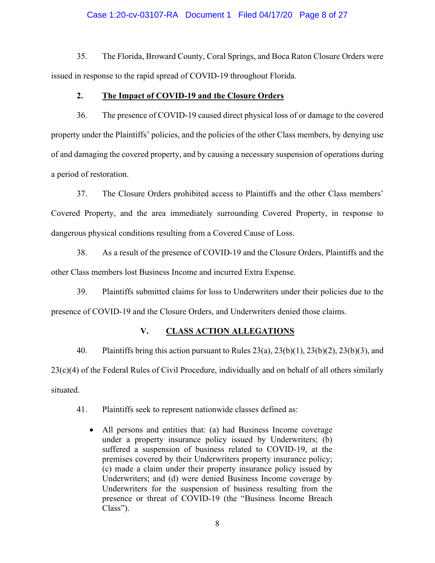## Case 1:20-cv-03107-RA Document 1 Filed 04/17/20 Page 8 of 27

35. The Florida, Broward County, Coral Springs, and Boca Raton Closure Orders were issued in response to the rapid spread of COVID-19 throughout Florida.

#### **2. The Impact of COVID-19 and the Closure Orders**

36. The presence of COVID-19 caused direct physical loss of or damage to the covered property under the Plaintiffs' policies, and the policies of the other Class members, by denying use of and damaging the covered property, and by causing a necessary suspension of operations during a period of restoration.

37. The Closure Orders prohibited access to Plaintiffs and the other Class members' Covered Property, and the area immediately surrounding Covered Property, in response to dangerous physical conditions resulting from a Covered Cause of Loss.

38. As a result of the presence of COVID-19 and the Closure Orders, Plaintiffs and the other Class members lost Business Income and incurred Extra Expense.

39. Plaintiffs submitted claims for loss to Underwriters under their policies due to the presence of COVID-19 and the Closure Orders, and Underwriters denied those claims.

## **V. CLASS ACTION ALLEGATIONS**

40. Plaintiffs bring this action pursuant to Rules 23(a), 23(b)(1), 23(b)(2), 23(b)(3), and 23(c)(4) of the Federal Rules of Civil Procedure, individually and on behalf of all others similarly situated.

41. Plaintiffs seek to represent nationwide classes defined as:

 All persons and entities that: (a) had Business Income coverage under a property insurance policy issued by Underwriters; (b) suffered a suspension of business related to COVID-19, at the premises covered by their Underwriters property insurance policy; (c) made a claim under their property insurance policy issued by Underwriters; and (d) were denied Business Income coverage by Underwriters for the suspension of business resulting from the presence or threat of COVID-19 (the "Business Income Breach Class").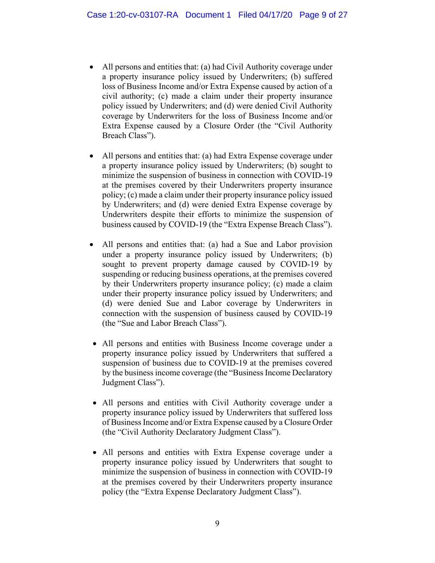- All persons and entities that: (a) had Civil Authority coverage under a property insurance policy issued by Underwriters; (b) suffered loss of Business Income and/or Extra Expense caused by action of a civil authority; (c) made a claim under their property insurance policy issued by Underwriters; and (d) were denied Civil Authority coverage by Underwriters for the loss of Business Income and/or Extra Expense caused by a Closure Order (the "Civil Authority Breach Class").
- All persons and entities that: (a) had Extra Expense coverage under a property insurance policy issued by Underwriters; (b) sought to minimize the suspension of business in connection with COVID-19 at the premises covered by their Underwriters property insurance policy; (c) made a claim under their property insurance policy issued by Underwriters; and (d) were denied Extra Expense coverage by Underwriters despite their efforts to minimize the suspension of business caused by COVID-19 (the "Extra Expense Breach Class").
- All persons and entities that: (a) had a Sue and Labor provision under a property insurance policy issued by Underwriters; (b) sought to prevent property damage caused by COVID-19 by suspending or reducing business operations, at the premises covered by their Underwriters property insurance policy; (c) made a claim under their property insurance policy issued by Underwriters; and (d) were denied Sue and Labor coverage by Underwriters in connection with the suspension of business caused by COVID-19 (the "Sue and Labor Breach Class").
- All persons and entities with Business Income coverage under a property insurance policy issued by Underwriters that suffered a suspension of business due to COVID-19 at the premises covered by the business income coverage (the "Business Income Declaratory Judgment Class").
- All persons and entities with Civil Authority coverage under a property insurance policy issued by Underwriters that suffered loss of Business Income and/or Extra Expense caused by a Closure Order (the "Civil Authority Declaratory Judgment Class").
- All persons and entities with Extra Expense coverage under a property insurance policy issued by Underwriters that sought to minimize the suspension of business in connection with COVID-19 at the premises covered by their Underwriters property insurance policy (the "Extra Expense Declaratory Judgment Class").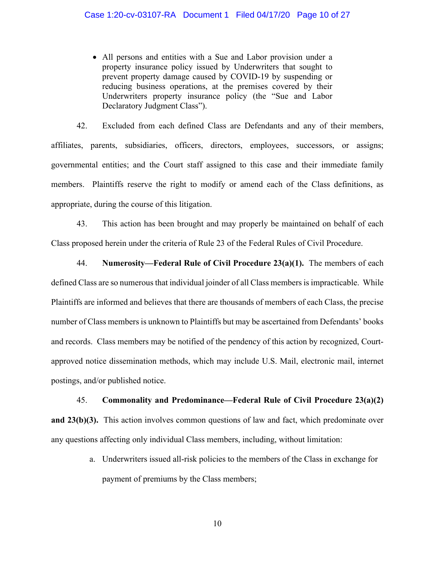All persons and entities with a Sue and Labor provision under a property insurance policy issued by Underwriters that sought to prevent property damage caused by COVID-19 by suspending or reducing business operations, at the premises covered by their Underwriters property insurance policy (the "Sue and Labor Declaratory Judgment Class").

42. Excluded from each defined Class are Defendants and any of their members, affiliates, parents, subsidiaries, officers, directors, employees, successors, or assigns; governmental entities; and the Court staff assigned to this case and their immediate family members. Plaintiffs reserve the right to modify or amend each of the Class definitions, as appropriate, during the course of this litigation.

43. This action has been brought and may properly be maintained on behalf of each Class proposed herein under the criteria of Rule 23 of the Federal Rules of Civil Procedure.

44. **Numerosity—Federal Rule of Civil Procedure 23(a)(1).** The members of each defined Class are so numerous that individual joinder of all Class members is impracticable. While Plaintiffs are informed and believes that there are thousands of members of each Class, the precise number of Class members is unknown to Plaintiffs but may be ascertained from Defendants' books and records. Class members may be notified of the pendency of this action by recognized, Courtapproved notice dissemination methods, which may include U.S. Mail, electronic mail, internet postings, and/or published notice.

## 45. **Commonality and Predominance—Federal Rule of Civil Procedure 23(a)(2)**

**and 23(b)(3).** This action involves common questions of law and fact, which predominate over any questions affecting only individual Class members, including, without limitation:

> a. Underwriters issued all-risk policies to the members of the Class in exchange for payment of premiums by the Class members;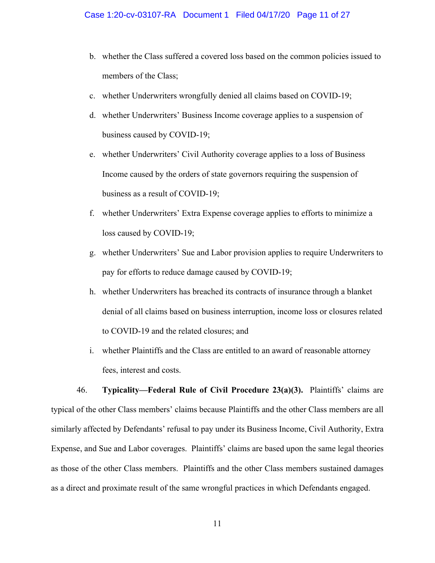- b. whether the Class suffered a covered loss based on the common policies issued to members of the Class;
- c. whether Underwriters wrongfully denied all claims based on COVID-19;
- d. whether Underwriters' Business Income coverage applies to a suspension of business caused by COVID-19;
- e. whether Underwriters' Civil Authority coverage applies to a loss of Business Income caused by the orders of state governors requiring the suspension of business as a result of COVID-19;
- f. whether Underwriters' Extra Expense coverage applies to efforts to minimize a loss caused by COVID-19;
- g. whether Underwriters' Sue and Labor provision applies to require Underwriters to pay for efforts to reduce damage caused by COVID-19;
- h. whether Underwriters has breached its contracts of insurance through a blanket denial of all claims based on business interruption, income loss or closures related to COVID-19 and the related closures; and
- i. whether Plaintiffs and the Class are entitled to an award of reasonable attorney fees, interest and costs.

46. **Typicality—Federal Rule of Civil Procedure 23(a)(3).** Plaintiffs' claims are typical of the other Class members' claims because Plaintiffs and the other Class members are all similarly affected by Defendants' refusal to pay under its Business Income, Civil Authority, Extra Expense, and Sue and Labor coverages. Plaintiffs' claims are based upon the same legal theories as those of the other Class members. Plaintiffs and the other Class members sustained damages as a direct and proximate result of the same wrongful practices in which Defendants engaged.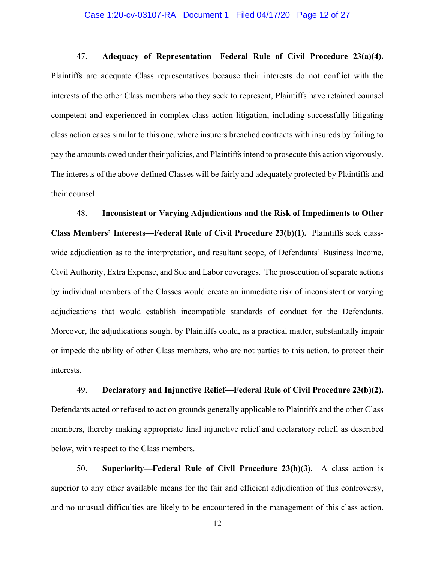#### Case 1:20-cv-03107-RA Document 1 Filed 04/17/20 Page 12 of 27

47. **Adequacy of Representation—Federal Rule of Civil Procedure 23(a)(4).**  Plaintiffs are adequate Class representatives because their interests do not conflict with the interests of the other Class members who they seek to represent, Plaintiffs have retained counsel competent and experienced in complex class action litigation, including successfully litigating class action cases similar to this one, where insurers breached contracts with insureds by failing to pay the amounts owed under their policies, and Plaintiffs intend to prosecute this action vigorously. The interests of the above-defined Classes will be fairly and adequately protected by Plaintiffs and their counsel.

48. **Inconsistent or Varying Adjudications and the Risk of Impediments to Other Class Members' Interests—Federal Rule of Civil Procedure 23(b)(1).** Plaintiffs seek classwide adjudication as to the interpretation, and resultant scope, of Defendants' Business Income, Civil Authority, Extra Expense, and Sue and Labor coverages. The prosecution of separate actions by individual members of the Classes would create an immediate risk of inconsistent or varying adjudications that would establish incompatible standards of conduct for the Defendants. Moreover, the adjudications sought by Plaintiffs could, as a practical matter, substantially impair or impede the ability of other Class members, who are not parties to this action, to protect their interests.

49. **Declaratory and Injunctive Relief—Federal Rule of Civil Procedure 23(b)(2).**  Defendants acted or refused to act on grounds generally applicable to Plaintiffs and the other Class members, thereby making appropriate final injunctive relief and declaratory relief, as described below, with respect to the Class members.

50. **Superiority—Federal Rule of Civil Procedure 23(b)(3).** A class action is superior to any other available means for the fair and efficient adjudication of this controversy, and no unusual difficulties are likely to be encountered in the management of this class action.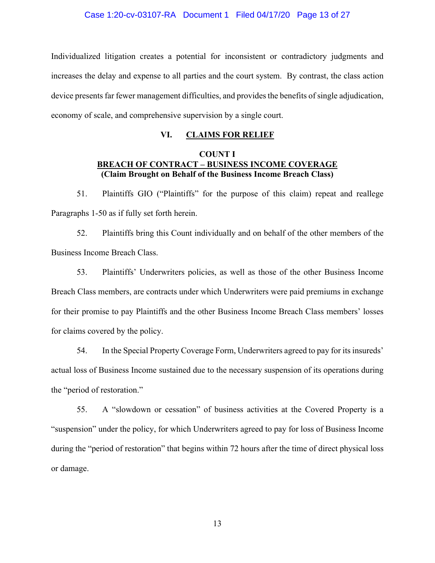Individualized litigation creates a potential for inconsistent or contradictory judgments and increases the delay and expense to all parties and the court system. By contrast, the class action device presents far fewer management difficulties, and provides the benefits of single adjudication, economy of scale, and comprehensive supervision by a single court.

## **VI. CLAIMS FOR RELIEF**

## **COUNT I BREACH OF CONTRACT – BUSINESS INCOME COVERAGE (Claim Brought on Behalf of the Business Income Breach Class)**

51. Plaintiffs GIO ("Plaintiffs" for the purpose of this claim) repeat and reallege Paragraphs 1-50 as if fully set forth herein.

52. Plaintiffs bring this Count individually and on behalf of the other members of the Business Income Breach Class.

53. Plaintiffs' Underwriters policies, as well as those of the other Business Income Breach Class members, are contracts under which Underwriters were paid premiums in exchange for their promise to pay Plaintiffs and the other Business Income Breach Class members' losses for claims covered by the policy.

54. In the Special Property Coverage Form, Underwriters agreed to pay for its insureds' actual loss of Business Income sustained due to the necessary suspension of its operations during the "period of restoration."

55. A "slowdown or cessation" of business activities at the Covered Property is a "suspension" under the policy, for which Underwriters agreed to pay for loss of Business Income during the "period of restoration" that begins within 72 hours after the time of direct physical loss or damage.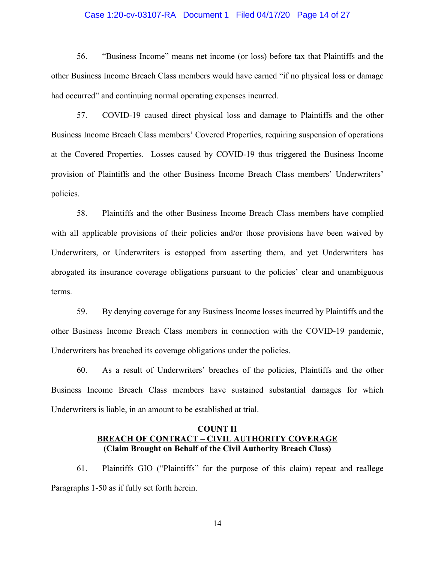#### Case 1:20-cv-03107-RA Document 1 Filed 04/17/20 Page 14 of 27

56. "Business Income" means net income (or loss) before tax that Plaintiffs and the other Business Income Breach Class members would have earned "if no physical loss or damage had occurred" and continuing normal operating expenses incurred.

57. COVID-19 caused direct physical loss and damage to Plaintiffs and the other Business Income Breach Class members' Covered Properties, requiring suspension of operations at the Covered Properties. Losses caused by COVID-19 thus triggered the Business Income provision of Plaintiffs and the other Business Income Breach Class members' Underwriters' policies.

58. Plaintiffs and the other Business Income Breach Class members have complied with all applicable provisions of their policies and/or those provisions have been waived by Underwriters, or Underwriters is estopped from asserting them, and yet Underwriters has abrogated its insurance coverage obligations pursuant to the policies' clear and unambiguous terms.

59. By denying coverage for any Business Income losses incurred by Plaintiffs and the other Business Income Breach Class members in connection with the COVID-19 pandemic, Underwriters has breached its coverage obligations under the policies.

60. As a result of Underwriters' breaches of the policies, Plaintiffs and the other Business Income Breach Class members have sustained substantial damages for which Underwriters is liable, in an amount to be established at trial.

## **COUNT II BREACH OF CONTRACT – CIVIL AUTHORITY COVERAGE (Claim Brought on Behalf of the Civil Authority Breach Class)**

61. Plaintiffs GIO ("Plaintiffs" for the purpose of this claim) repeat and reallege Paragraphs 1-50 as if fully set forth herein.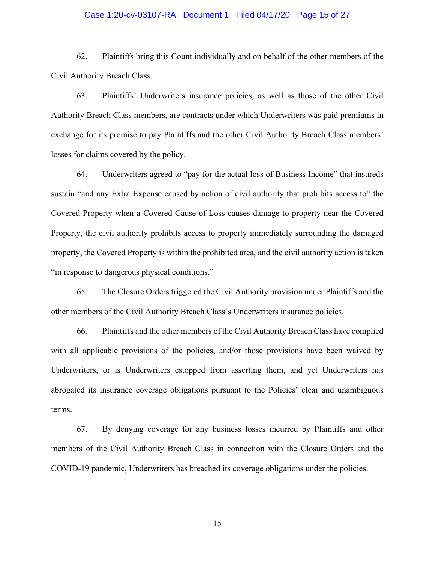#### Case 1:20-cv-03107-RA Document 1 Filed 04/17/20 Page 15 of 27

62. Plaintiffs bring this Count individually and on behalf of the other members of the Civil Authority Breach Class.

63. Plaintiffs' Underwriters insurance policies, as well as those of the other Civil Authority Breach Class members, are contracts under which Underwriters was paid premiums in exchange for its promise to pay Plaintiffs and the other Civil Authority Breach Class members' losses for claims covered by the policy.

64. Underwriters agreed to "pay for the actual loss of Business Income" that insureds sustain "and any Extra Expense caused by action of civil authority that prohibits access to" the Covered Property when a Covered Cause of Loss causes damage to property near the Covered Property, the civil authority prohibits access to property immediately surrounding the damaged property, the Covered Property is within the prohibited area, and the civil authority action is taken "in response to dangerous physical conditions."

65. The Closure Orders triggered the Civil Authority provision under Plaintiffs and the other members of the Civil Authority Breach Class's Underwriters insurance policies.

66. Plaintiffs and the other members of the Civil Authority Breach Class have complied with all applicable provisions of the policies, and/or those provisions have been waived by Underwriters, or is Underwriters estopped from asserting them, and yet Underwriters has abrogated its insurance coverage obligations pursuant to the Policies' clear and unambiguous terms.

67. By denying coverage for any business losses incurred by Plaintiffs and other members of the Civil Authority Breach Class in connection with the Closure Orders and the COVID-19 pandemic, Underwriters has breached its coverage obligations under the policies.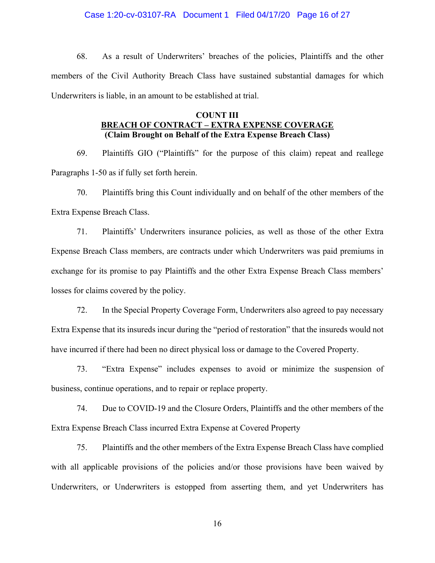#### Case 1:20-cv-03107-RA Document 1 Filed 04/17/20 Page 16 of 27

68. As a result of Underwriters' breaches of the policies, Plaintiffs and the other members of the Civil Authority Breach Class have sustained substantial damages for which Underwriters is liable, in an amount to be established at trial.

## **COUNT III BREACH OF CONTRACT – EXTRA EXPENSE COVERAGE (Claim Brought on Behalf of the Extra Expense Breach Class)**

69. Plaintiffs GIO ("Plaintiffs" for the purpose of this claim) repeat and reallege Paragraphs 1-50 as if fully set forth herein.

70. Plaintiffs bring this Count individually and on behalf of the other members of the Extra Expense Breach Class.

71. Plaintiffs' Underwriters insurance policies, as well as those of the other Extra Expense Breach Class members, are contracts under which Underwriters was paid premiums in exchange for its promise to pay Plaintiffs and the other Extra Expense Breach Class members' losses for claims covered by the policy.

72. In the Special Property Coverage Form, Underwriters also agreed to pay necessary Extra Expense that its insureds incur during the "period of restoration" that the insureds would not have incurred if there had been no direct physical loss or damage to the Covered Property.

73. "Extra Expense" includes expenses to avoid or minimize the suspension of business, continue operations, and to repair or replace property.

74. Due to COVID-19 and the Closure Orders, Plaintiffs and the other members of the Extra Expense Breach Class incurred Extra Expense at Covered Property

75. Plaintiffs and the other members of the Extra Expense Breach Class have complied with all applicable provisions of the policies and/or those provisions have been waived by Underwriters, or Underwriters is estopped from asserting them, and yet Underwriters has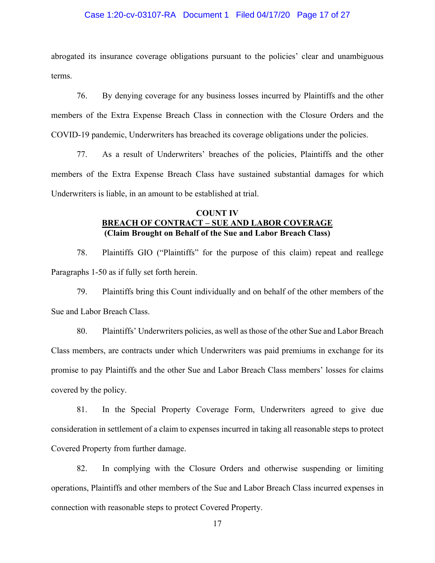#### Case 1:20-cv-03107-RA Document 1 Filed 04/17/20 Page 17 of 27

abrogated its insurance coverage obligations pursuant to the policies' clear and unambiguous terms.

76. By denying coverage for any business losses incurred by Plaintiffs and the other members of the Extra Expense Breach Class in connection with the Closure Orders and the COVID-19 pandemic, Underwriters has breached its coverage obligations under the policies.

77. As a result of Underwriters' breaches of the policies, Plaintiffs and the other members of the Extra Expense Breach Class have sustained substantial damages for which Underwriters is liable, in an amount to be established at trial.

## **COUNT IV BREACH OF CONTRACT – SUE AND LABOR COVERAGE (Claim Brought on Behalf of the Sue and Labor Breach Class)**

78. Plaintiffs GIO ("Plaintiffs" for the purpose of this claim) repeat and reallege Paragraphs 1-50 as if fully set forth herein.

79. Plaintiffs bring this Count individually and on behalf of the other members of the Sue and Labor Breach Class.

80. Plaintiffs' Underwriters policies, as well as those of the other Sue and Labor Breach Class members, are contracts under which Underwriters was paid premiums in exchange for its promise to pay Plaintiffs and the other Sue and Labor Breach Class members' losses for claims covered by the policy.

81. In the Special Property Coverage Form, Underwriters agreed to give due consideration in settlement of a claim to expenses incurred in taking all reasonable steps to protect Covered Property from further damage.

82. In complying with the Closure Orders and otherwise suspending or limiting operations, Plaintiffs and other members of the Sue and Labor Breach Class incurred expenses in connection with reasonable steps to protect Covered Property.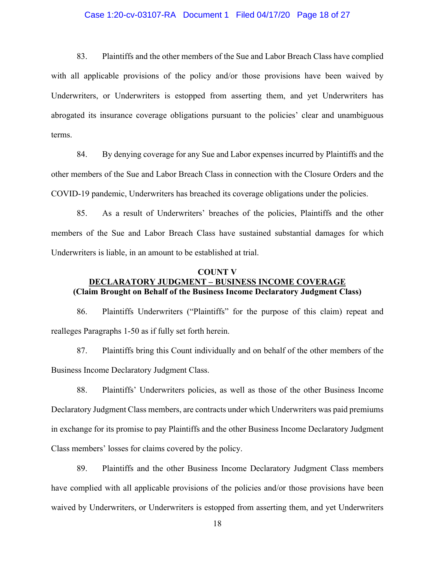#### Case 1:20-cv-03107-RA Document 1 Filed 04/17/20 Page 18 of 27

83. Plaintiffs and the other members of the Sue and Labor Breach Class have complied with all applicable provisions of the policy and/or those provisions have been waived by Underwriters, or Underwriters is estopped from asserting them, and yet Underwriters has abrogated its insurance coverage obligations pursuant to the policies' clear and unambiguous terms.

84. By denying coverage for any Sue and Labor expenses incurred by Plaintiffs and the other members of the Sue and Labor Breach Class in connection with the Closure Orders and the COVID-19 pandemic, Underwriters has breached its coverage obligations under the policies.

85. As a result of Underwriters' breaches of the policies, Plaintiffs and the other members of the Sue and Labor Breach Class have sustained substantial damages for which Underwriters is liable, in an amount to be established at trial.

### **COUNT V DECLARATORY JUDGMENT – BUSINESS INCOME COVERAGE (Claim Brought on Behalf of the Business Income Declaratory Judgment Class)**

86. Plaintiffs Underwriters ("Plaintiffs" for the purpose of this claim) repeat and realleges Paragraphs 1-50 as if fully set forth herein.

87. Plaintiffs bring this Count individually and on behalf of the other members of the Business Income Declaratory Judgment Class.

88. Plaintiffs' Underwriters policies, as well as those of the other Business Income Declaratory Judgment Class members, are contracts under which Underwriters was paid premiums in exchange for its promise to pay Plaintiffs and the other Business Income Declaratory Judgment Class members' losses for claims covered by the policy.

89. Plaintiffs and the other Business Income Declaratory Judgment Class members have complied with all applicable provisions of the policies and/or those provisions have been waived by Underwriters, or Underwriters is estopped from asserting them, and yet Underwriters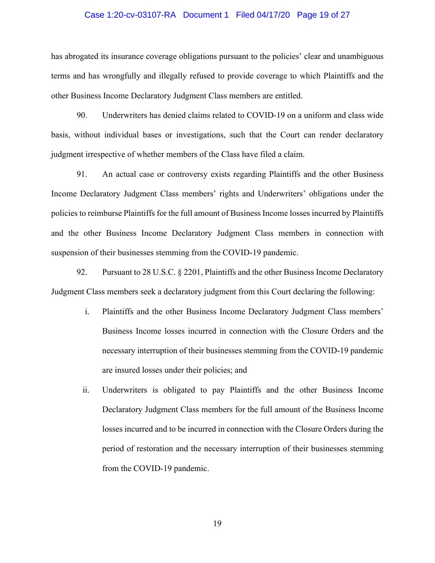#### Case 1:20-cv-03107-RA Document 1 Filed 04/17/20 Page 19 of 27

has abrogated its insurance coverage obligations pursuant to the policies' clear and unambiguous terms and has wrongfully and illegally refused to provide coverage to which Plaintiffs and the other Business Income Declaratory Judgment Class members are entitled.

90. Underwriters has denied claims related to COVID-19 on a uniform and class wide basis, without individual bases or investigations, such that the Court can render declaratory judgment irrespective of whether members of the Class have filed a claim.

91. An actual case or controversy exists regarding Plaintiffs and the other Business Income Declaratory Judgment Class members' rights and Underwriters' obligations under the policies to reimburse Plaintiffs for the full amount of Business Income losses incurred by Plaintiffs and the other Business Income Declaratory Judgment Class members in connection with suspension of their businesses stemming from the COVID-19 pandemic.

92. Pursuant to 28 U.S.C. § 2201, Plaintiffs and the other Business Income Declaratory Judgment Class members seek a declaratory judgment from this Court declaring the following:

- i. Plaintiffs and the other Business Income Declaratory Judgment Class members' Business Income losses incurred in connection with the Closure Orders and the necessary interruption of their businesses stemming from the COVID-19 pandemic are insured losses under their policies; and
- ii. Underwriters is obligated to pay Plaintiffs and the other Business Income Declaratory Judgment Class members for the full amount of the Business Income losses incurred and to be incurred in connection with the Closure Orders during the period of restoration and the necessary interruption of their businesses stemming from the COVID-19 pandemic.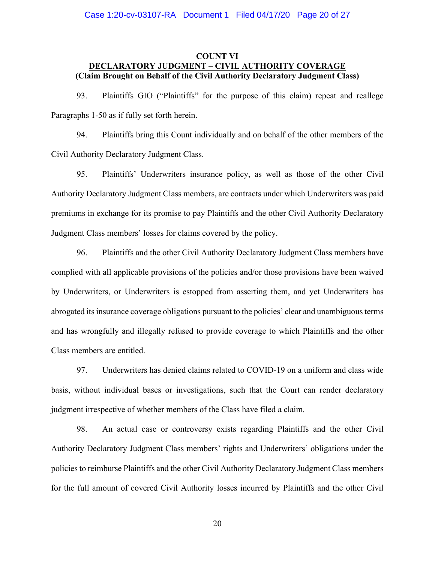## **COUNT VI DECLARATORY JUDGMENT – CIVIL AUTHORITY COVERAGE (Claim Brought on Behalf of the Civil Authority Declaratory Judgment Class)**

93. Plaintiffs GIO ("Plaintiffs" for the purpose of this claim) repeat and reallege Paragraphs 1-50 as if fully set forth herein.

94. Plaintiffs bring this Count individually and on behalf of the other members of the Civil Authority Declaratory Judgment Class.

95. Plaintiffs' Underwriters insurance policy, as well as those of the other Civil Authority Declaratory Judgment Class members, are contracts under which Underwriters was paid premiums in exchange for its promise to pay Plaintiffs and the other Civil Authority Declaratory Judgment Class members' losses for claims covered by the policy.

96. Plaintiffs and the other Civil Authority Declaratory Judgment Class members have complied with all applicable provisions of the policies and/or those provisions have been waived by Underwriters, or Underwriters is estopped from asserting them, and yet Underwriters has abrogated its insurance coverage obligations pursuant to the policies' clear and unambiguous terms and has wrongfully and illegally refused to provide coverage to which Plaintiffs and the other Class members are entitled.

97. Underwriters has denied claims related to COVID-19 on a uniform and class wide basis, without individual bases or investigations, such that the Court can render declaratory judgment irrespective of whether members of the Class have filed a claim.

98. An actual case or controversy exists regarding Plaintiffs and the other Civil Authority Declaratory Judgment Class members' rights and Underwriters' obligations under the policies to reimburse Plaintiffs and the other Civil Authority Declaratory Judgment Class members for the full amount of covered Civil Authority losses incurred by Plaintiffs and the other Civil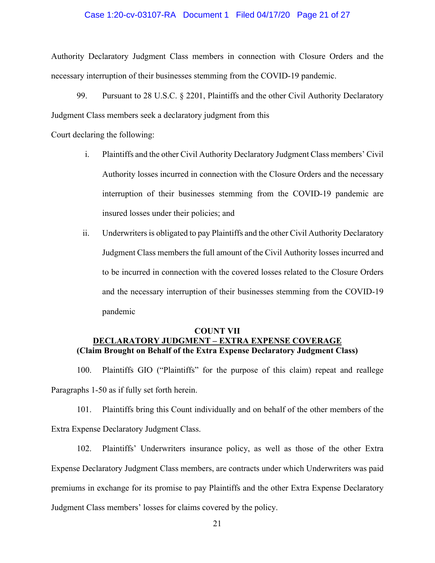#### Case 1:20-cv-03107-RA Document 1 Filed 04/17/20 Page 21 of 27

Authority Declaratory Judgment Class members in connection with Closure Orders and the necessary interruption of their businesses stemming from the COVID-19 pandemic.

99. Pursuant to 28 U.S.C. § 2201, Plaintiffs and the other Civil Authority Declaratory Judgment Class members seek a declaratory judgment from this

Court declaring the following:

- i. Plaintiffs and the other Civil Authority Declaratory Judgment Class members' Civil Authority losses incurred in connection with the Closure Orders and the necessary interruption of their businesses stemming from the COVID-19 pandemic are insured losses under their policies; and
- ii. Underwriters is obligated to pay Plaintiffs and the other Civil Authority Declaratory Judgment Class members the full amount of the Civil Authority losses incurred and to be incurred in connection with the covered losses related to the Closure Orders and the necessary interruption of their businesses stemming from the COVID-19 pandemic

## **COUNT VII DECLARATORY JUDGMENT – EXTRA EXPENSE COVERAGE (Claim Brought on Behalf of the Extra Expense Declaratory Judgment Class)**

100. Plaintiffs GIO ("Plaintiffs" for the purpose of this claim) repeat and reallege Paragraphs 1-50 as if fully set forth herein.

101. Plaintiffs bring this Count individually and on behalf of the other members of the Extra Expense Declaratory Judgment Class.

102. Plaintiffs' Underwriters insurance policy, as well as those of the other Extra Expense Declaratory Judgment Class members, are contracts under which Underwriters was paid premiums in exchange for its promise to pay Plaintiffs and the other Extra Expense Declaratory Judgment Class members' losses for claims covered by the policy.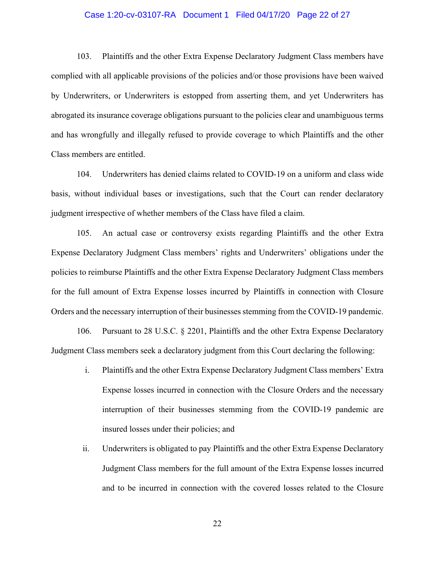#### Case 1:20-cv-03107-RA Document 1 Filed 04/17/20 Page 22 of 27

103. Plaintiffs and the other Extra Expense Declaratory Judgment Class members have complied with all applicable provisions of the policies and/or those provisions have been waived by Underwriters, or Underwriters is estopped from asserting them, and yet Underwriters has abrogated its insurance coverage obligations pursuant to the policies clear and unambiguous terms and has wrongfully and illegally refused to provide coverage to which Plaintiffs and the other Class members are entitled.

104. Underwriters has denied claims related to COVID-19 on a uniform and class wide basis, without individual bases or investigations, such that the Court can render declaratory judgment irrespective of whether members of the Class have filed a claim.

105. An actual case or controversy exists regarding Plaintiffs and the other Extra Expense Declaratory Judgment Class members' rights and Underwriters' obligations under the policies to reimburse Plaintiffs and the other Extra Expense Declaratory Judgment Class members for the full amount of Extra Expense losses incurred by Plaintiffs in connection with Closure Orders and the necessary interruption of their businesses stemming from the COVID-19 pandemic.

106. Pursuant to 28 U.S.C. § 2201, Plaintiffs and the other Extra Expense Declaratory Judgment Class members seek a declaratory judgment from this Court declaring the following:

- i. Plaintiffs and the other Extra Expense Declaratory Judgment Class members' Extra Expense losses incurred in connection with the Closure Orders and the necessary interruption of their businesses stemming from the COVID-19 pandemic are insured losses under their policies; and
- ii. Underwriters is obligated to pay Plaintiffs and the other Extra Expense Declaratory Judgment Class members for the full amount of the Extra Expense losses incurred and to be incurred in connection with the covered losses related to the Closure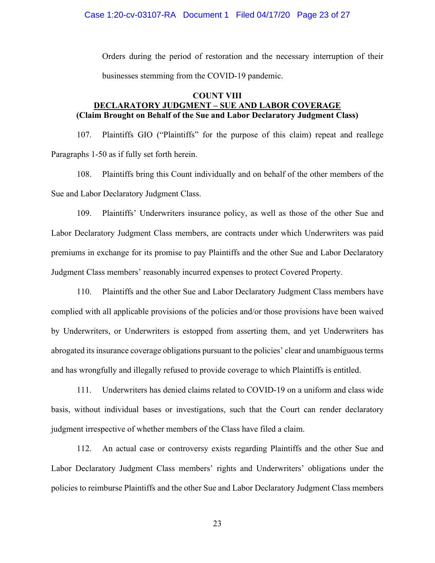#### Case 1:20-cv-03107-RA Document 1 Filed 04/17/20 Page 23 of 27

Orders during the period of restoration and the necessary interruption of their businesses stemming from the COVID-19 pandemic.

#### **COUNT VIII**

## **DECLARATORY JUDGMENT – SUE AND LABOR COVERAGE (Claim Brought on Behalf of the Sue and Labor Declaratory Judgment Class)**

107. Plaintiffs GIO ("Plaintiffs" for the purpose of this claim) repeat and reallege Paragraphs 1-50 as if fully set forth herein.

108. Plaintiffs bring this Count individually and on behalf of the other members of the Sue and Labor Declaratory Judgment Class.

109. Plaintiffs' Underwriters insurance policy, as well as those of the other Sue and Labor Declaratory Judgment Class members, are contracts under which Underwriters was paid premiums in exchange for its promise to pay Plaintiffs and the other Sue and Labor Declaratory Judgment Class members' reasonably incurred expenses to protect Covered Property.

110. Plaintiffs and the other Sue and Labor Declaratory Judgment Class members have complied with all applicable provisions of the policies and/or those provisions have been waived by Underwriters, or Underwriters is estopped from asserting them, and yet Underwriters has abrogated its insurance coverage obligations pursuant to the policies' clear and unambiguous terms and has wrongfully and illegally refused to provide coverage to which Plaintiffs is entitled.

111. Underwriters has denied claims related to COVID-19 on a uniform and class wide basis, without individual bases or investigations, such that the Court can render declaratory judgment irrespective of whether members of the Class have filed a claim.

112. An actual case or controversy exists regarding Plaintiffs and the other Sue and Labor Declaratory Judgment Class members' rights and Underwriters' obligations under the policies to reimburse Plaintiffs and the other Sue and Labor Declaratory Judgment Class members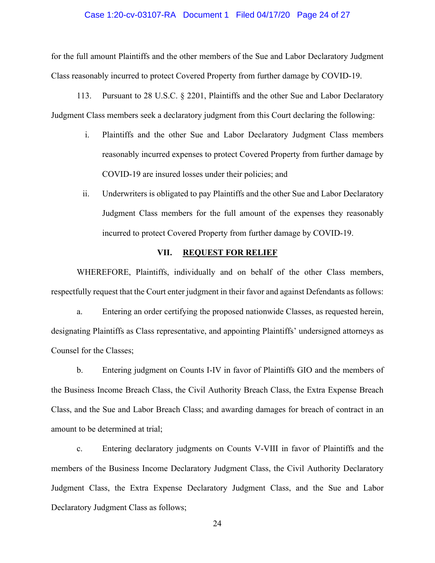#### Case 1:20-cv-03107-RA Document 1 Filed 04/17/20 Page 24 of 27

for the full amount Plaintiffs and the other members of the Sue and Labor Declaratory Judgment Class reasonably incurred to protect Covered Property from further damage by COVID-19.

113. Pursuant to 28 U.S.C. § 2201, Plaintiffs and the other Sue and Labor Declaratory Judgment Class members seek a declaratory judgment from this Court declaring the following:

- i. Plaintiffs and the other Sue and Labor Declaratory Judgment Class members reasonably incurred expenses to protect Covered Property from further damage by COVID-19 are insured losses under their policies; and
- ii. Underwriters is obligated to pay Plaintiffs and the other Sue and Labor Declaratory Judgment Class members for the full amount of the expenses they reasonably incurred to protect Covered Property from further damage by COVID-19.

#### **VII. REQUEST FOR RELIEF**

WHEREFORE, Plaintiffs, individually and on behalf of the other Class members, respectfully request that the Court enter judgment in their favor and against Defendants as follows:

a. Entering an order certifying the proposed nationwide Classes, as requested herein, designating Plaintiffs as Class representative, and appointing Plaintiffs' undersigned attorneys as Counsel for the Classes;

b. Entering judgment on Counts I-IV in favor of Plaintiffs GIO and the members of the Business Income Breach Class, the Civil Authority Breach Class, the Extra Expense Breach Class, and the Sue and Labor Breach Class; and awarding damages for breach of contract in an amount to be determined at trial;

c. Entering declaratory judgments on Counts V-VIII in favor of Plaintiffs and the members of the Business Income Declaratory Judgment Class, the Civil Authority Declaratory Judgment Class, the Extra Expense Declaratory Judgment Class, and the Sue and Labor Declaratory Judgment Class as follows;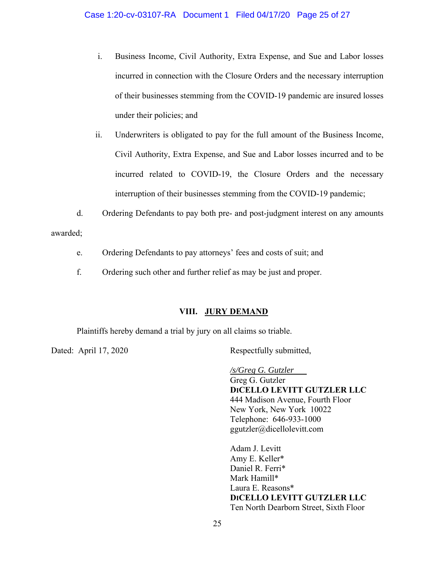- i. Business Income, Civil Authority, Extra Expense, and Sue and Labor losses incurred in connection with the Closure Orders and the necessary interruption of their businesses stemming from the COVID-19 pandemic are insured losses under their policies; and
- ii. Underwriters is obligated to pay for the full amount of the Business Income, Civil Authority, Extra Expense, and Sue and Labor losses incurred and to be incurred related to COVID-19, the Closure Orders and the necessary interruption of their businesses stemming from the COVID-19 pandemic;
- d. Ordering Defendants to pay both pre- and post-judgment interest on any amounts

awarded;

- e. Ordering Defendants to pay attorneys' fees and costs of suit; and
- f. Ordering such other and further relief as may be just and proper.

## **VIII. JURY DEMAND**

Plaintiffs hereby demand a trial by jury on all claims so triable.

Dated: April 17, 2020 Respectfully submitted,

*/s/Greg G. Gutzler*  Greg G. Gutzler **DICELLO LEVITT GUTZLER LLC**  444 Madison Avenue, Fourth Floor New York, New York 10022 Telephone: 646-933-1000 ggutzler@dicellolevitt.com

Adam J. Levitt Amy E. Keller\* Daniel R. Ferri\* Mark Hamill\* Laura E. Reasons\* **DICELLO LEVITT GUTZLER LLC**  Ten North Dearborn Street, Sixth Floor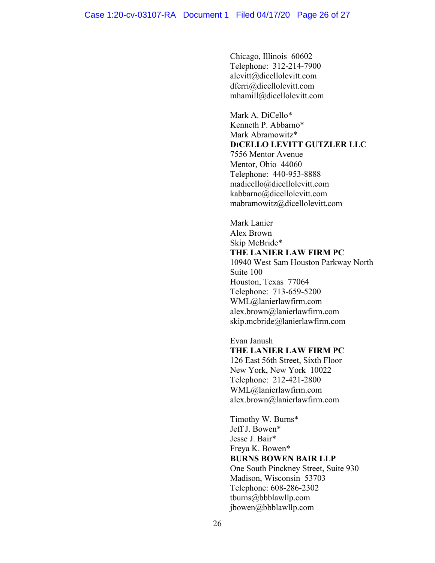Chicago, Illinois 60602 Telephone: 312-214-7900 alevitt@dicellolevitt.com dferri@dicellolevitt.com mhamill@dicellolevitt.com

Mark A. DiCello\* Kenneth P. Abbarno\* Mark Abramowitz\* **DICELLO LEVITT GUTZLER LLC** 7556 Mentor Avenue Mentor, Ohio 44060 Telephone: 440-953-8888 madicello@dicellolevitt.com kabbarno@dicellolevitt.com mabramowitz@dicellolevitt.com

 Mark Lanier Alex Brown Skip McBride\* **THE LANIER LAW FIRM PC**  10940 West Sam Houston Parkway North Suite 100

 Houston, Texas 77064 Telephone: 713-659-5200 WML@lanierlawfirm.com alex.brown@lanierlawfirm.com skip.mcbride@lanierlawfirm.com

Evan Janush **THE LANIER LAW FIRM PC**  126 East 56th Street, Sixth Floor New York, New York 10022 Telephone: 212-421-2800 WML@lanierlawfirm.com alex.brown@lanierlawfirm.com

Timothy W. Burns\* Jeff J. Bowen\* Jesse J. Bair\* Freya K. Bowen\* **BURNS BOWEN BAIR LLP**  One South Pinckney Street, Suite 930 Madison, Wisconsin 53703 Telephone: 608-286-2302 tburns@bbblawllp.com jbowen@bbblawllp.com